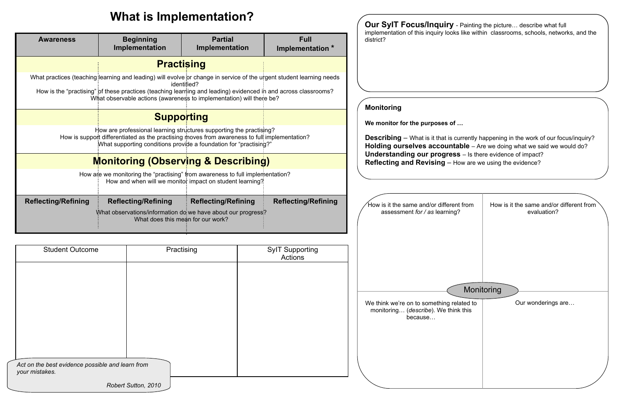# **What is Implementation?**

| <b>Awareness</b>           | <b>Beginning</b><br>Implementation                                                                                                                                                                                                        | <b>Partial</b><br>Implementation                         | <b>Full</b><br>Implementation * |  |  |  |  |
|----------------------------|-------------------------------------------------------------------------------------------------------------------------------------------------------------------------------------------------------------------------------------------|----------------------------------------------------------|---------------------------------|--|--|--|--|
| <b>Practising</b>          |                                                                                                                                                                                                                                           |                                                          |                                 |  |  |  |  |
|                            | What practices (teaching: learning and leading) will evolve or change in service of the urgent student learning needs                                                                                                                     | identified?                                              |                                 |  |  |  |  |
|                            | How is the "practising" of these practices (teaching learning and leading) evidenced in and across classrooms?<br>What observable actions (awareness to implementation) will there be?                                                    |                                                          |                                 |  |  |  |  |
|                            | <b>Supporting</b>                                                                                                                                                                                                                         |                                                          |                                 |  |  |  |  |
|                            | How are professional learning structures supporting the practising?<br>How is support differentiated as the practising moves from awareness to full implementation?<br>"What supporting conditions provide a foundation for "practising?" |                                                          |                                 |  |  |  |  |
|                            | <b>Monitoring (Observing &amp; Describing)</b>                                                                                                                                                                                            |                                                          |                                 |  |  |  |  |
|                            | How are we monitoring the "practising" from awareness to full implementation?                                                                                                                                                             | How and when will we monitor impact on student learning? |                                 |  |  |  |  |
| <b>Reflecting/Refining</b> | <b>Reflecting/Refining</b><br>What observations/information do we have about our progress?<br>What does this mean for our work?                                                                                                           | <b>Reflecting/Refining</b>                               | <b>Reflecting/Refining</b>      |  |  |  |  |

| <b>Student Outcome</b>                                             | Practising          | <b>SylT Supporting</b><br>Actions |
|--------------------------------------------------------------------|---------------------|-----------------------------------|
|                                                                    |                     |                                   |
|                                                                    |                     |                                   |
|                                                                    |                     |                                   |
|                                                                    |                     |                                   |
|                                                                    |                     |                                   |
|                                                                    |                     |                                   |
| Act on the best evidence possible and learn from<br>your mistakes. |                     |                                   |
|                                                                    | Robert Sutton, 2010 |                                   |

 $\mathbf y$  - Painting the picture... describe what full<br>also like within adoptations as health restrict implementation of this inquiry looks like within classrooms, schools, networks, and the district? **Monitoring**We monitor for the purposes of ... **Describing** – What is it that is currently happening in the work of our focus/inquiry?**Holding ourselves accountable** – Are we doing what we said we would do? **Understanding our progress** – Is there evidence of impact? **Reflecting and Revising** – How are we using the evidence?Monitoring How is it the same and/or differer assessment *for / as* learning? evaluation? We think we're on to something re monitoring... (*describe*). We thin because... Our wonderings are…

| nt from   | How is it the same and/or different from |
|-----------|------------------------------------------|
| g?        | evaluation?                              |
| elated to | Monitoring                               |
| nk this   | Our wonderings are                       |
|           |                                          |